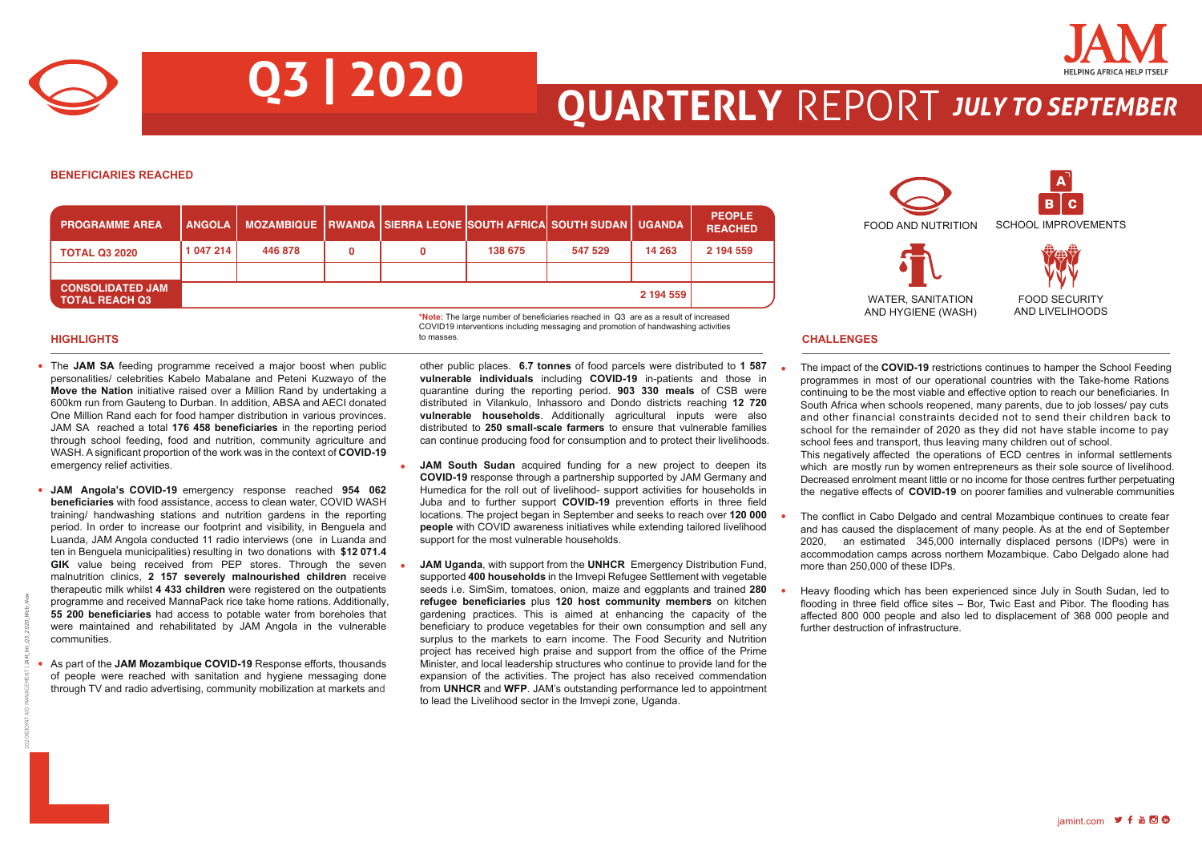

# **QUARTERLY** REPORT *JULY TO SEPTEMBER*

#### **BENEFICIARIES REACHED**

| <b>PROGRAMME AREA</b>                            | <b>ANGOLA</b> |         | MOZAMBIQUE   RWANDA   SIERRA LEONE  SOUTH AFRICA  SOUTH SUDAN   UGANDA |         |         |           | <b>PEOPLE</b><br><b>REACHED</b> |
|--------------------------------------------------|---------------|---------|------------------------------------------------------------------------|---------|---------|-----------|---------------------------------|
| <b>TOTAL Q3 2020</b>                             | 1 047 214     | 446 878 | 0                                                                      | 138 675 | 547 529 | 14 263    | 2 194 559                       |
|                                                  |               |         |                                                                        |         |         |           |                                 |
| <b>CONSOLIDATED JAM</b><br><b>TOTAL REACH Q3</b> |               |         |                                                                        |         |         | 2 194 559 |                                 |

to masses.

**Q3 | 2020**

2020©JOINT AID MANAGEMENT | *JAM\_Int\_Q3\_2020\_Web\_New*

- The JAM SA feeding programme received a major boost when public personalities/ celebrities Kabelo Mabalane and Peteni Kuzwayo of the **Move the Nation** initiative raised over a Million Rand by undertaking a 600km run from Gauteng to Durban. In addition, ABSA and AECI donated One Million Rand each for food hamper distribution in various provinces. JAM SA reached a total **176 458 beneficiaries** in the reporting period through school feeding, food and nutrition, community agriculture and WASH. A significant proportion of the work was in the context of **COVID-19** emergency relief activities.
- **JAM Angola's COVID-19** emergency response reached **954 062 beneficiaries** with food assistance, access to clean water, COVID WASH training/ handwashing stations and nutrition gardens in the reporting period. In order to increase our footprint and visibility, in Benguela and Luanda, JAM Angola conducted 11 radio interviews (one in Luanda and ten in Benguela municipalities) resulting in two donations with **\$12 071.4 GIK** value being received from PEP stores. Through the seven malnutrition clinics, **2 157 severely malnourished children** receive therapeutic milk whilst **4 433 children** were registered on the outpatients programme and received MannaPack rice take home rations. Additionally, **55 200 beneficiaries** had access to potable water from boreholes that were maintained and rehabilitated by JAM Angola in the vulnerable communities.
- As part of the **JAM Mozambique COVID-19** Response efforts, thousands of people were reached with sanitation and hygiene messaging done through TV and radio advertising, community mobilization at markets and

other public places. **6.7 tonnes** of food parcels were distributed to **1 587 vulnerable individuals** including **COVID-19** in-patients and those in quarantine during the reporting period. **903 330 meals** of CSB were distributed in Vilankulo, Inhassoro and Dondo districts reaching **12 720 vulnerable households**. Additionally agricultural inputs were also

**\*Note:** The large number of beneficiaries reached in Q3 are as a result of increased COVID19 interventions including messaging and promotion of handwashing activities

- distributed to **250 small-scale farmers** to ensure that vulnerable families can continue producing food for consumption and to protect their livelihoods. **JAM South Sudan** acquired funding for a new project to deepen its **COVID-19** response through a partnership supported by JAM Germany and
- Humedica for the roll out of livelihood- support activities for households in Juba and to further support **COVID-19** prevention efforts in three field locations. The project began in September and seeks to reach over **120 000 people** with COVID awareness initiatives while extending tailored livelihood support for the most vulnerable households.
- **JAM Uganda**, with support from the **UNHCR** Emergency Distribution Fund, supported **400 households** in the Imvepi Refugee Settlement with vegetable seeds i.e. SimSim, tomatoes, onion, maize and eggplants and trained **280 refugee beneficiaries** plus **120 host community members** on kitchen gardening practices. This is aimed at enhancing the capacity of the beneficiary to produce vegetables for their own consumption and sell any surplus to the markets to earn income. The Food Security and Nutrition project has received high praise and support from the office of the Prime Minister, and local leadership structures who continue to provide land for the expansion of the activities. The project has also received commendation from **UNHCR** and **WFP**. JAM's outstanding performance led to appointment to lead the Livelihood sector in the Imvepi zone, Uganda.



## **HIGHLIGHTS CHALLENGES**

- The impact of the **COVID-19** restrictions continues to hamper the School Feeding programmes in most of our operational countries with the Take-home Rations continuing to be the most viable and effective option to reach our beneficiaries. In South Africa when schools reopened, many parents, due to job losses/ pay cuts and other financial constraints decided not to send their children back to school for the remainder of 2020 as they did not have stable income to pay school fees and transport, thus leaving many children out of school. This negatively affected the operations of ECD centres in informal settlements which are mostly run by women entrepreneurs as their sole source of livelihood. Decreased enrolment meant little or no income for those centres further perpetuating the negative effects of **COVID-19** on poorer families and vulnerable communities
- The conflict in Cabo Delgado and central Mozambique continues to create fear and has caused the displacement of many people. As at the end of September 2020, an estimated 345,000 internally displaced persons (IDPs) were in accommodation camps across northern Mozambique. Cabo Delgado alone had more than 250,000 of these IDPs.
- Heavy flooding which has been experienced since July in South Sudan, led to flooding in three field office sites – Bor, Twic East and Pibor. The flooding has affected 800 000 people and also led to displacement of 368 000 people and further destruction of infrastructure.